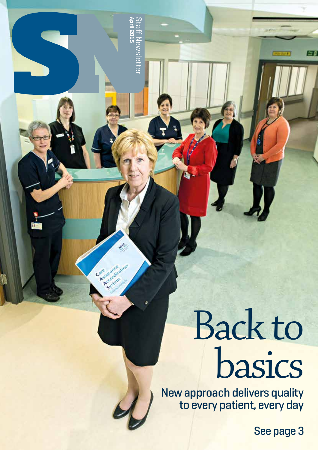# Back to basics

New approach delivers quality to every patient, every day

See page 3

兰春

e<sub>1</sub>S **April 2015** Staff Newsletter  $\overline{\mathbf{c}}$ စ်  $\overline{c}$ 

Argumenton

System

Care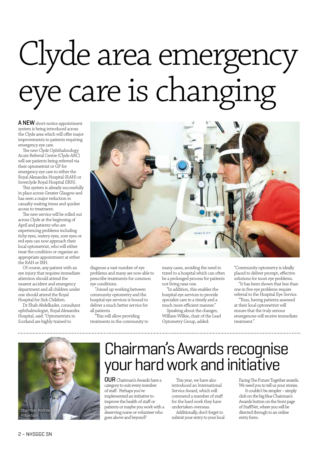# Clyde area emergency eye care is changing

A NEW short-notice appointment system is being introduced across the Clyde area which will offer major improvements to patients requiring emergency eye care.

The new Clyde Ophthalmology Acute Referral Centre (Clyde ARC) will see patients being referred via their optometrist or GP for emergency eye care to either the Royal Alexandra Hospital (RAH) or Inverclyde Royal Hospital (IRH).

This system is already successfully in place across Greater Glasgow and has seen a major reduction in casualty waiting times and quicker access to treatment.

The new service will be rolled out across Clyde at the beginning of April and patients who are experiencing problems including itchy eyes, watery eyes, sore eyes or red eyes can now approach their local optometrist, who will either treat the condition or organise an appropriate appointment at either the RAH or IRH.

Of course, any patient with an eye injury that requires immediate attention should attend the nearest accident and emergency department and all children under one should attend the Royal Hospital for Sick Children.

Dr Ehab Abdelkader, consultant ophthalmologist, Royal Alexandra Hospital, said: "Optometrists in Scotland are highly trained to



diagnose a vast number of eye problems and many are now able to prescribe treatments for common eye conditions.

"Joined up working between community optometry and the hospital eye services is bound to deliver a much better service for all patients.

"This will allow providing treatments in the community to many cases, avoiding the need to travel to a hospital which can often be a prolonged process for patients not living near one.

"In addition, this enables the hospital eye services to provide specialist care in a timely and a much more efficient manner."

Speaking about the changes, William Wilkie, chair of the Lead Optometry Group, added:

"Community optometry is ideally placed to deliver prompt, effective solutions for most eye problems.

"It has been shown that less than one in five eye problems require referral to the Hospital Eye Service.

"Thus, having patients assessed at their local optometrist will ensure that the truly serious emergencies will receive immediate treatment."



#### Chairman's Awards recognise your hard work and initiative

OUR Chairman's Awards have a category to suit every member of staff. Perhaps you've implemented an initiative to improve the health of staff or patients or maybe you work with a deserving nurse or volunteer who goes above and beyond?

This year, we have also introduced an International Service Award, which will commend a member of staff for the hard work they have undertaken overseas.

Additionally, don't forget to submit your entry to your local Facing The Future Together awards. We need you to tell us your stories.

 It couldn't be simpler – simply click on the big blue Chairman's Awards button on the front page of StaffNet, where you will be directed through to an online entry form.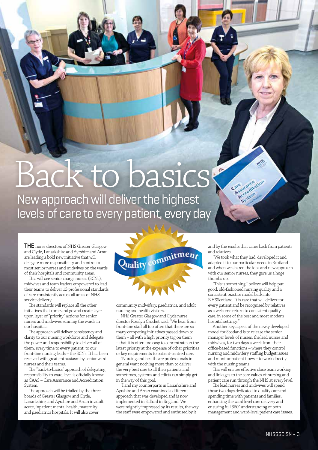# Back to basics?

New approach will deliver the highest levels of care to every patient, every day

**THE** nurse directors of NHS Greater Glasgow and Clyde, Lanarkshire and Ayrshire and Arran are leading a bold new initiative that will delegate more responsibility and control to most senior nurses and midwives on the wards of their hospitals and community areas.

This will see senior charge nurses (SCNs), midwives and team leaders empowered to lead their teams to deliver 13 professional standards of care consistently across all areas of NHS service delivery.

The standards will replace all the other initiatives that come and go and create layer upon layer of "priority" actions for senior nurses and midwives running the wards in our hospitals.

The approach will deliver consistency and clarity to our nursing workforce and delegate the power and responsibility to deliver all of them, every time to every patient, to our front-line nursing leads – the SCNs. It has been received with great enthusiasm by senior ward nurses and their teams.

The "back-to-basics" approach of delegating responsibility to ward level is officially known as CAAS – Care Assurance and Accreditation System.

The approach will be trialled by the three boards of Greater Glasgow and Clyde, Lanarkshire, and Ayrshire and Arran in adult acute, inpatient mental health, maternity and paediatrics hospitals. It will also cover



community midwifery, paediatrics, and adult nursing and health visitors.

NHS Greater Glasgow and Clyde nurse director Rosslyn Crocket said: "We hear from front-line staff all too often that there are so many competing initiatives passed down to them – all with a high priority tag on them – that it is often too easy to concentrate on the latest priority at the expense of other priorities or key requirements to patient-centred care.

"Nursing and healthcare professionals in general want nothing more than to deliver the very best care to all their patients and sometimes, systems and edicts can simply get in the way of this goal.

"I and my counterparts in Lanarkshire and Ayrshire and Arran examined a different approach that was developed and is now implemented in Salford in England. We were mightily impressed by its results, the way the staff were empowered and enthused by it

and by the results that came back from patients and relatives.

Care urance Asuranceation System

"We took what they had, developed it and adapted it to our particular needs in Scotland and when we shared the idea and new approach with our senior nurses, they gave us a huge thumbs up.

"This is something I believe will help put good, old-fashioned nursing quality and a consistent practice model back into NHSScotland. It is care that will deliver for every patient and be recognised by relatives as a welcome return to consistent quality care, in some of the best and most modern hospital settings."

Another key aspect of the newly developed model for Scotland is to release the senior manager levels of nurses, the lead nurses and midwives, for two days a week from their office-based functions – where they control nursing and midwifery staffing budget issues and monitor patient flows – to work directly with the nursing teams.

This will ensure effective close team working and linkages to the core values of nursing and patient care run through the NHS at every level.

The lead nurses and midwives will spend those two days dedicated to quality care and spending time with patients and families, enhancing the ward level care delivery and ensuring full 360˚ understanding of both management and ward-level patient care issues.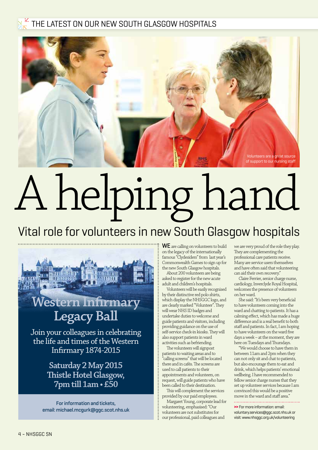#### $\frac{13}{12}$  THE LATEST ON OUR NEW SOUTH GLASGOW HOSPITALS



# A helping hand

#### Vital role for volunteers in new South Glasgow hospitals



**Saturday 2 May 2015 Thistle Hotel Glasgow, 7pm till 1am • £50**

For information and tickets, email: michael.mcgurk@ggc.scot.nhs.uk WE are calling on volunteers to build on the legacy of the internationally famous "Clydesiders" from last year's Commonwealth Games to sign up for the new South Glasgow hospitals.

About 200 volunteers are being asked to register for the new acute adult and children's hospitals.

Volunteers will be easily recognised by their distinctive red polo shirts, which display the NHSGGC logo, and are clearly marked "Volunteer". They will wear NHS ID badges and undertake duties to welcome and guide patients and visitors, including providing guidance on the use of self-service check-in kiosks. They will also support patients in ward activities such as befriending.

The volunteers will signpost patients to waiting areas and to "calling screens" that will be located there and in cafés. The screens are used to call patients to their appointments and volunteers, on request, will guide patients who have been called to their destination.

This will complement the services provided by our paid employees.

Margaret Young, corporate lead for volunteering, emphasised: "Our volunteers are not substitutes for our professional, paid colleagues and

we are very proud of the role they play. They are complementing the professional care patients receive. Many are service users themselves and have often said that volunteering can aid their own recovery."

Claire Ferrier, senior charge nurse, cardiology, Inverclyde Royal Hospital, welcomes the presence of volunteers on her ward.

She said: "It's been very beneficial to have volunteers coming into the ward and chatting to patients. It has a calming effect, which has made a huge difference and is a real benefit to both staff and patients. In fact, I am hoping to have volunteers on the ward five days a week – at the moment, they are here on Tuesdays and Thursdays.

"We would choose to have them in between 11am and 2pm when they can not only sit and chat to patients, but also encourage them to eat and drink, which helps patients' emotional wellbeing. I have recommended to fellow senior charge nurses that they set up volunteer services because I am convinced this would be a positive move in the ward and staff area."

**>>** For more information: email: voluntary.services@ggc.scot.nhs.uk or visit: www.nhsggc.org.uk/volunteering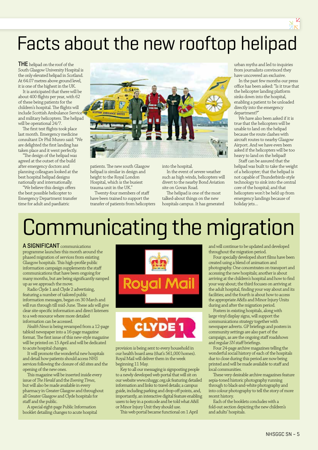### Facts about the new rooftop helipad

THE helipad on the roof of the South Glasgow University Hospital is the only elevated helipad in Scotland. At 64.07 metres above ground level, it is one of the highest in the UK.

It is anticipated that there will be about 400 flights per year, with 62 of these being patients for the children's hospital. The flights will include Scottish Ambulance Service and military helicopters. The helipad will be operational 24/7.

The first test flights took place last month. Emergency medicine consultant Dr Phil Munro said: "We are delighted the first landing has taken place and it went perfectly.

"The design of the helipad was agreed at the outset of the build after emergency doctors and planning colleagues looked at the best hospital helipad designs nationally and internationally.

"We believe this design offers the best possible helicopter to Emergency Department transfer time for adult and paediatric



patients. The new south Glasgow helipad is similar in design and height to the Royal London Hospital, which is the busiest trauma unit in the UK."

Twenty-four members of staff have been trained to support the transfer of patients from helicopters into the hospital.

In the event of severe weather such as high winds, helicopters will divert to the nearby Bond Aviation site on Govan Road.

The helipad is one of the most talked-about things on the new hospitals campus. It has generated urban myths and led to inquiries from journalists convinced they have uncovered an exclusive.

In the past few months our press office has been asked: "Is it true that the helicopter landing platform sinks down into the hospital, enabling a patient to be unloaded directly into the emergency department?"

We have also been asked if it is true that the helicopters will be unable to land on the helipad because the route clashes with aircraft routes to nearby Glasgow Airport. And we have even been asked if the helicopters will be too heavy to land on the helipad!

Staff can be assured that the helipad was built to take the weight of a helicopter; that the helipad is not capable of Thunderbirds-style technology to sink into the central core of the hospital; and that helicopters won't be held up from emergency landings because of holiday jets…

## Communicating the migration

A SIGNIFICANT communications programme launches this month around the phased migration of services from existing Glasgow hospitals. This high-profile public information campaign supplements the staff communications that have been ongoing for many months, but are being significantly ramped up as we approach the move.

Radio Clyde 1 and Clyde 2 advertising, featuring a number of tailored public information messages, began on 30 March and will run through till mid-June. These ads will give clear site-specific information and direct listeners to a web resource where more detailed information can be accessed.

*Health News* is being revamped from a 12-page tabloid newspaper into a 16-page magazine format. The first issue of this new-style magazine will be printed on 15 April and will be dedicated to acute hospital changes.

It will promote the wonderful new hospitals and detail how patients should access NHS services following the closure of old sites and the opening of the new ones.

This magazine will be inserted inside every issue of *The Herald* and the *Evening Times*, but will also be made available in every pharmacy in Greater Glasgow and throughout all Greater Glasgow and Clyde hospitals for staff and the public.

A special eight-page Public Information booklet detailing changes to acute hospital





provision is being sent to every household in our health board area (that's 561,000 homes). Royal Mail will deliver them in the week beginning 11 May.

Key to all our messaging is signposting people to a newly developed web portal that will sit on our website www.nhsggc.org.uk featuring detailed information and links to travel details; a campus guide, including parking and drop-off points, and, importantly, an interactive digital feature enabling users to key in a postcode and be told what A&E or Minor Injury Unit they should use.

This web portal became functional on 1 April

and will continue to be updated and developed throughout the migration period.

Four specially developed short films have been created using a blend of animation and photography. One concentrates on transport and accessing the new hospitals; another is about arriving at the children's hospital and how to find your way about; the third focuses on arriving at the adult hospital, finding your way about and its facilities; and the fourth is about how to access the appropriate A&Es and Minor Injury Units during and after the migration period.

Posters in existing hospitals, along with large vinyl display signs, will support the communications strategy together with newspaper adverts. GP briefings and posters in community settings are also part of the campaign, as are the ongoing staff roadshows and regular *SN* staff briefings.

Four 24-page archive magazines telling the wonderful social history of each of the hospitals due to close during this period are now being printed and will be made available to staff and local communities.

These very desirable archive magazines feature sepia-toned historic photography running through to black-and-white photography and into colour photography to tell the story of more recent history.

Each of the booklets concludes with a fold-out section depicting the new children's and adults' hospitals.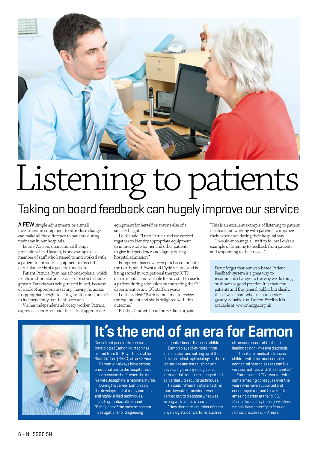

## Listening to patients Taking on board feedback can hugely improve our service

A FEW simple adjustments or a small investment in equipment to introduce changes can make all the difference to patients during their stay in our hospitals.

Louise Watson, occupational therapy professional lead (acute), is one example of a member of staff who listened to and worked with a patient to introduce equipment to meet the particular needs of a genetic condition.

Patient Patricia Ryan has achondroplasia, which results in short stature because of restricted limb growth. Patricia was being treated in bed, because of a lack of appropriate seating, having no access to appropriate height toileting facilities and unable to independently use the shower area.

Via her independent advocacy worker, Patricia expressed concerns about the lack of appropriate equipment for herself or anyone else of a smaller height.

Louise said: "I met Patricia and we worked together to identify appropriate equipment to improve care for her and other patients to give independence and dignity during hospital admission."

Equipment has now been purchased for both the north, south/west and Clyde sectors, and is being stored in occupational therapy (OT) departments. It is available for any staff to use for a patient during admission by contacting the OT department or any OT staff on wards.

Louise added: "Patricia and I met to review the equipment and she is delighted with this outcome."

Rosslyn Crocket, board nurse director, said:

"This is an excellent example of listening to patient feedback and working with patients to improve their experience during their hospital stay.

"I would encourage all staff to follow Louise's example of listening to feedback from patients and responding to their needs."

Don't forget that our web-based Patient Feedback system is a great way to recommend changes to the way we do things or showcase good practice. It is there for patients and the general public, but clearly, the views of staff who use our services is greatly valuable too. Patient Feedback is available at: www.nhsggc.org.uk



#### **It's the end of an era for Eamon**

Consultant paediatric cardiac physiologist Eamon Murtagh has retired from the Royal Hospital for Sick Children (RHSC) after 42 years.

Eamon will always have strong emotional ties to the hospital, not least because that's where he met his wife Josephine, a neonatal nurse.

During his career, Eamon saw the development of many complex and highly skilled techniques. including cardiac ultrasound (Echo), one of the most important investigations for diagnosing

congenital heart disease in children. Eamon played key roles in the

introduction and setting up of the children's electrophysiology catheter lab service and establishing and developing the physiologist-led intervential trans-oesophageal and epicardial ultrasound techniques.

He said: "When I first started, far more invasive procedures were carried out to diagnose what was wrong with a child's heart.

"Now there are a number of tests physiologists can perform, such as

ultrasound scans of the heart, leading to non-invasive diagnosis.

"Thanks to medical advances, children with the most complex congenital heart diseases can live very normal lives with their families."

Eamon added: "I've worked with some amazing colleagues over the years who have supported and encouraged me, and I have had an amazing career at the RHSC." *Due to the scale of the organisation, we only have capacity to feature retirals in excess of 40 years.*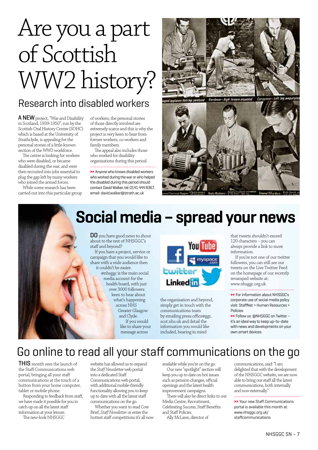## Are you a part of Scottish WW2 history?

#### Research into disabled workers

A NEW project, "War and Disability in Scotland, 1939-1950", run by the Scottish Oral History Centre (SOHC) which is based at the University of Strathclyde, is appealing for the personal stories of a little-known section of the WW2 workforce.

The centre is looking for workers who were disabled, or became disabled during the war, and were then recruited into jobs essential to plug the gap left by many workers who joined the armed forces.

While some research has been carried out into this particular group of workers, the personal stories of those directly involved are extremely scarce and this is why the project is very keen to hear from former workers, co-workers and family members.

The appeal also includes those who worked for disability organisations during this period.

**>>** Anyone who knows disabled workers who worked during the war or who helped the disabled during this period should contact David Walker, tel: 0141 444 8367, email: david.walker@strath.ac.uk





#### **Social media – spread your news**

DO you have good news to shout about to the rest of NHSGGC's staff and beyond?

If you have a project, service or campaign that you would like to share with a wide audience then

it couldn't be easier. @nhsggc is the main social media account for the health board, with just over 3000 followers keen to hear about what's happening across NHS Greater Glasgow and Clyde. If you would like to share your message across



the organisation and beyond, simply get in touch with the communications team by emailing press.office@ggc. scot.nhs.uk and detail the information you would like included, bearing in mind

that tweets shouldn't exceed 120 characters – you can always provide a link to more information.

If you're not one of our twitter followers, you can still see our tweets on the Live Twitter Feed on the homepage of our recently revamped website at: www.nhsggc.org.uk

**>>** For information about NHSGGC's corporate use of social media policy visit: StaffNet > Human Resources > Policies

**>>** Follow us: @NHSGGC on Twitter – it's an ideal way to keep up-to-date with news and developments on your own smart devices.

#### Go online to read all your staff communications on the go

THIS month sees the launch of the Staff Communications web portal, bringing all your staff communications at the touch of a button from your home computer, tablet or mobile phone.

Responding to feedback from staff, we have made it possible for you to catch up on all the latest staff information at your leisure.

The new-look NHSGGC

website has allowed us to expand the *Staff Newsle*tter web portal into a dedicated Staff Communications web portal, with additional mobile-friendly functionality allowing you to keep up to date with all the latest staff communications on the go.

Whether you want to read Core Brief, *Staff Newsletter* or enter the hottest staff competitions it's all now available while you're on the go.

Our new "spotlight" section will keep you up to date on hot issues such as pension changes, official openings and the latest health improvement campaigns.

There will also be direct links to our Media Centre, Recruitment, Celebrating Success, Staff Benefits and Staff Policies.

Ally McLaws, director of

communications, said: "I am delighted that with the development of the NHSGGC website, we are now able to bring our staff all the latest communications, both internally and now externally."

**>>** Your new Staff Communications portal is available this month at: www.nhsggc.org.uk/ staffcommunications